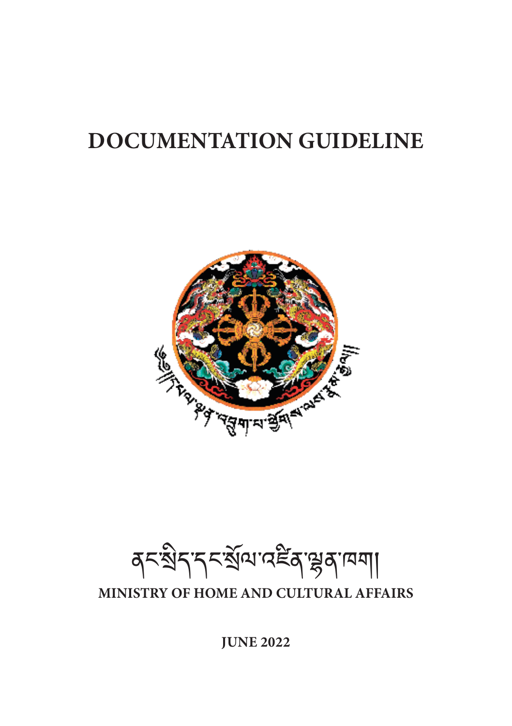# **DOCUMENTATION GUIDELINE**



ଵ্বনস্থিন'ন্নইম্বল্পুৰ'দ্মশা

**MINISTRY OF HOME AND CULTURAL AFFAIRS**

**JUNE 2022**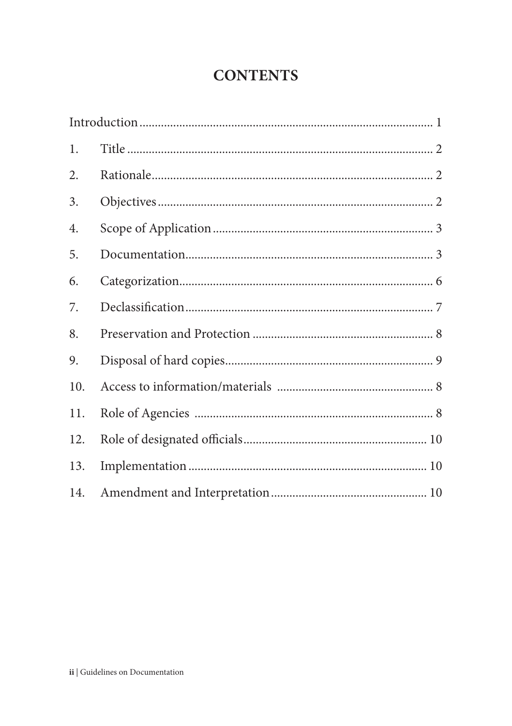# **CONTENTS**

| 1.  |  |
|-----|--|
| 2.  |  |
| 3.  |  |
| 4.  |  |
| 5.  |  |
| 6.  |  |
| 7.  |  |
| 8.  |  |
| 9.  |  |
| 10. |  |
| 11. |  |
| 12. |  |
| 13. |  |
| 14. |  |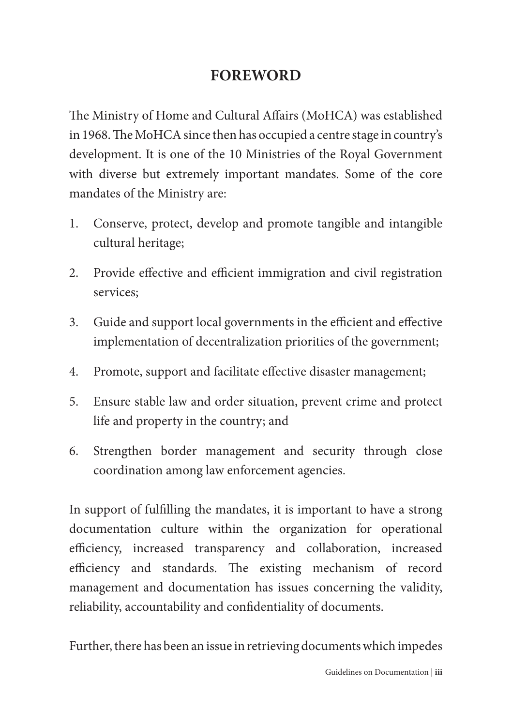## **FOREWORD**

The Ministry of Home and Cultural Affairs (MoHCA) was established in 1968. The MoHCA since then has occupied a centre stage in country's development. It is one of the 10 Ministries of the Royal Government with diverse but extremely important mandates. Some of the core mandates of the Ministry are:

- 1. Conserve, protect, develop and promote tangible and intangible cultural heritage;
- 2. Provide effective and efficient immigration and civil registration services;
- 3. Guide and support local governments in the efficient and effective implementation of decentralization priorities of the government;
- 4. Promote, support and facilitate effective disaster management;
- 5. Ensure stable law and order situation, prevent crime and protect life and property in the country; and
- 6. Strengthen border management and security through close coordination among law enforcement agencies.

In support of fulfilling the mandates, it is important to have a strong documentation culture within the organization for operational efficiency, increased transparency and collaboration, increased efficiency and standards. The existing mechanism of record management and documentation has issues concerning the validity, reliability, accountability and confidentiality of documents.

Further, there has been an issue in retrieving documents which impedes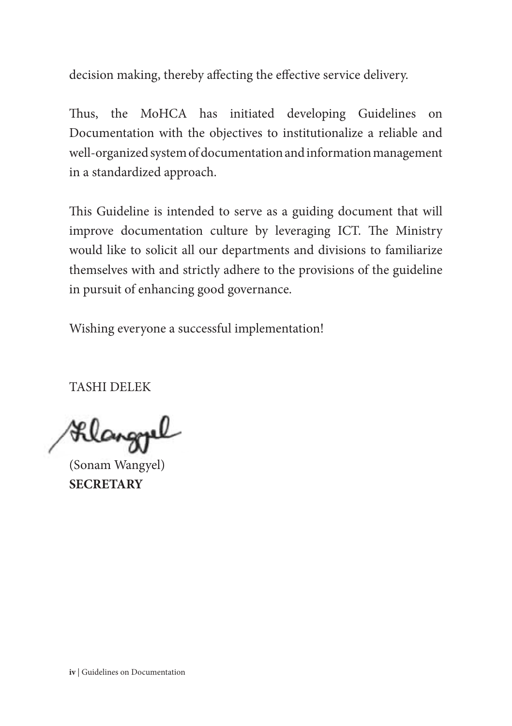decision making, thereby affecting the effective service delivery.

Thus, the MoHCA has initiated developing Guidelines on Documentation with the objectives to institutionalize a reliable and well-organized system of documentation and information management in a standardized approach.

This Guideline is intended to serve as a guiding document that will improve documentation culture by leveraging ICT. The Ministry would like to solicit all our departments and divisions to familiarize themselves with and strictly adhere to the provisions of the guideline in pursuit of enhancing good governance.

Wishing everyone a successful implementation!

TASHI DELEK

Alangrel

(Sonam Wangyel) **SECRETARY**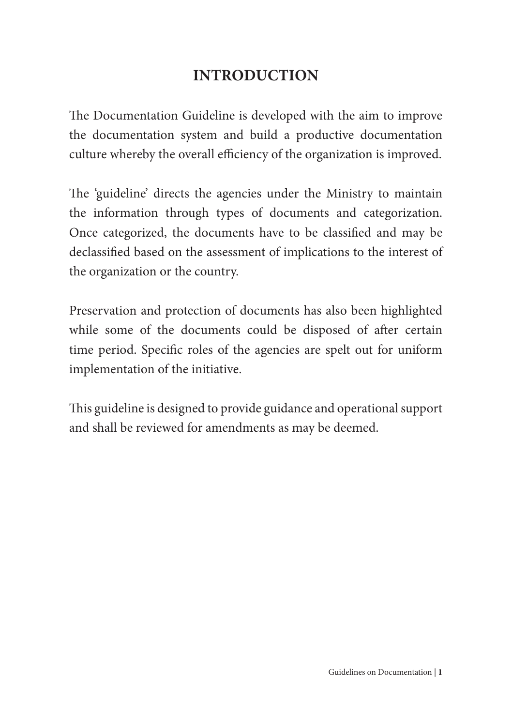## **INTRODUCTION**

The Documentation Guideline is developed with the aim to improve the documentation system and build a productive documentation culture whereby the overall efficiency of the organization is improved.

The 'guideline' directs the agencies under the Ministry to maintain the information through types of documents and categorization. Once categorized, the documents have to be classified and may be declassified based on the assessment of implications to the interest of the organization or the country.

Preservation and protection of documents has also been highlighted while some of the documents could be disposed of after certain time period. Specific roles of the agencies are spelt out for uniform implementation of the initiative.

This guideline is designed to provide guidance and operational support and shall be reviewed for amendments as may be deemed.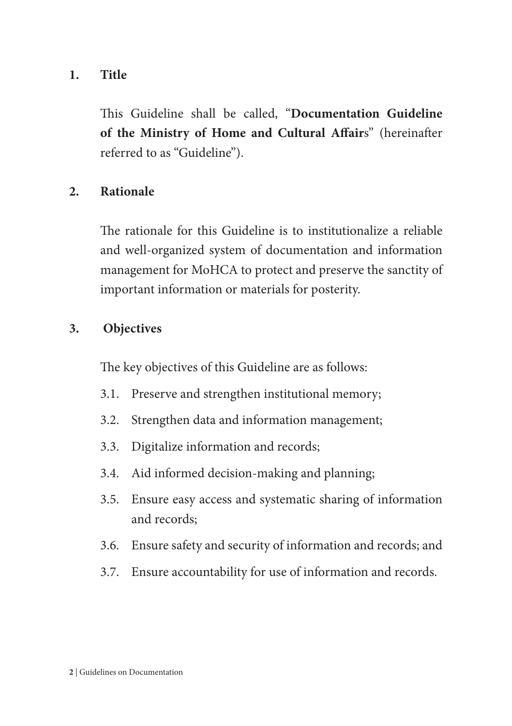#### **1. Title**

This Guideline shall be called, "**Documentation Guideline of the Ministry of Home and Cultural Affair**s" (hereinafter referred to as "Guideline").

#### **2. Rationale**

The rationale for this Guideline is to institutionalize a reliable and well-organized system of documentation and information management for MoHCA to protect and preserve the sanctity of important information or materials for posterity.

#### **3. Objectives**

The key objectives of this Guideline are as follows:

- 3.1. Preserve and strengthen institutional memory;
- 3.2. Strengthen data and information management;
- 3.3. Digitalize information and records;
- 3.4. Aid informed decision-making and planning;
- 3.5. Ensure easy access and systematic sharing of information and records;
- 3.6. Ensure safety and security of information and records; and
- 3.7. Ensure accountability for use of information and records.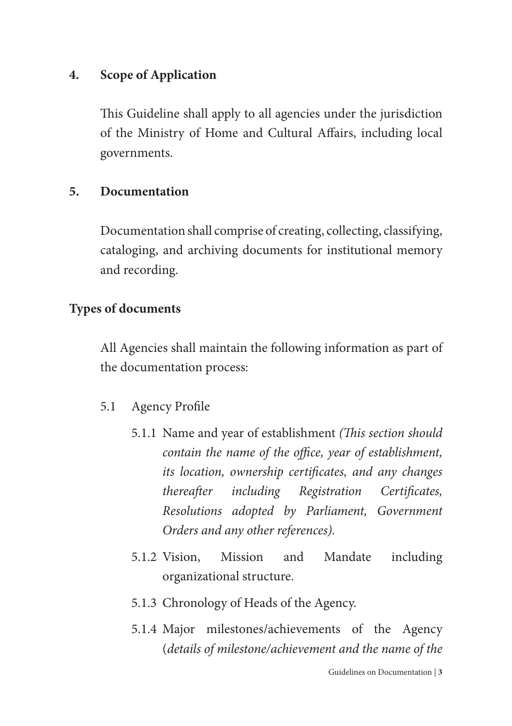#### **4. Scope of Application**

This Guideline shall apply to all agencies under the jurisdiction of the Ministry of Home and Cultural Affairs, including local governments.

#### **5. Documentation**

Documentation shall comprise of creating, collecting, classifying, cataloging, and archiving documents for institutional memory and recording.

#### **Types of documents**

All Agencies shall maintain the following information as part of the documentation process:

#### 5.1 Agency Profile

- 5.1.1 Name and year of establishment *(This section should contain the name of the office, year of establishment, its location, ownership certificates, and any changes thereafter including Registration Certificates, Resolutions adopted by Parliament, Government Orders and any other references).*
- 5.1.2 Vision, Mission and Mandate including organizational structure.
- 5.1.3 Chronology of Heads of the Agency.
- 5.1.4 Major milestones/achievements of the Agency (*details of milestone/achievement and the name of the*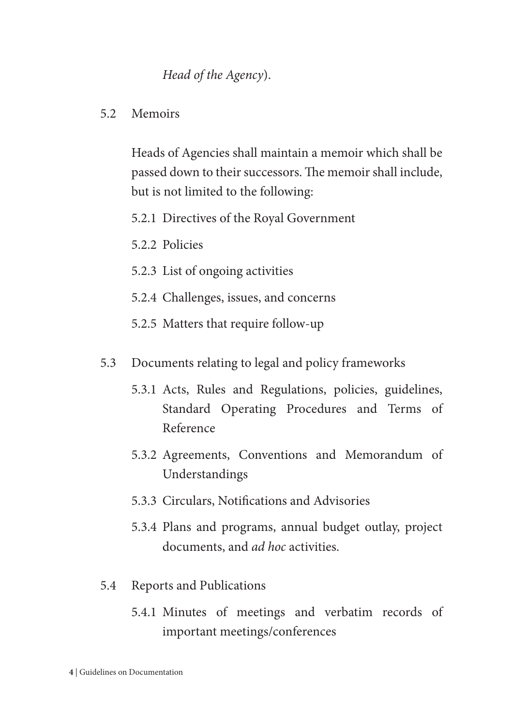#### *Head of the Agency*).

#### 5.2 Memoirs

Heads of Agencies shall maintain a memoir which shall be passed down to their successors. The memoir shall include, but is not limited to the following:

- 5.2.1 Directives of the Royal Government
- 5.2.2 Policies
- 5.2.3 List of ongoing activities
- 5.2.4 Challenges, issues, and concerns
- 5.2.5 Matters that require follow-up
- 5.3 Documents relating to legal and policy frameworks
	- 5.3.1 Acts, Rules and Regulations, policies, guidelines, Standard Operating Procedures and Terms of Reference
	- 5.3.2 Agreements, Conventions and Memorandum of Understandings
	- 5.3.3 Circulars, Notifications and Advisories
	- 5.3.4 Plans and programs, annual budget outlay, project documents, and *ad hoc* activities.
- 5.4 Reports and Publications
	- 5.4.1 Minutes of meetings and verbatim records of important meetings/conferences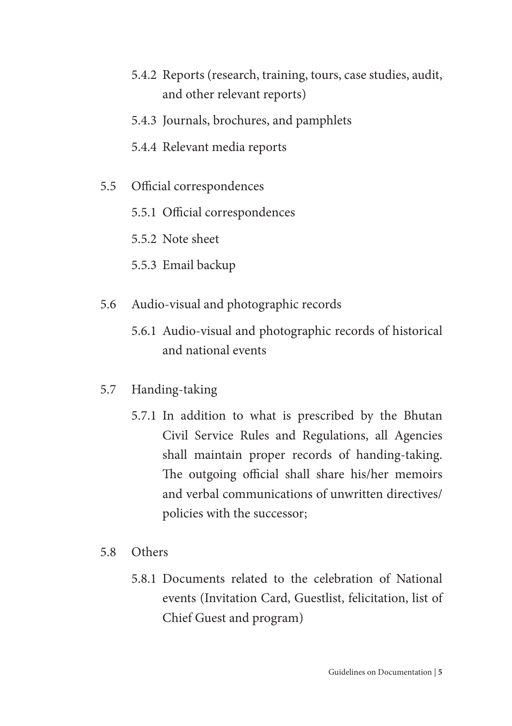- 5.4.2 Reports (research, training, tours, case studies, audit, and other relevant reports)
- 5.4.3 Journals, brochures, and pamphlets
- 5.4.4 Relevant media reports
- 5.5 Official correspondences
	- 5.5.1 Official correspondences
	- 5.5.2 Note sheet
	- 5.5.3 Email backup
- 5.6 Audio-visual and photographic records
	- 5.6.1 Audio-visual and photographic records of historical and national events
- 5.7 Handing-taking
	- 5.7.1 In addition to what is prescribed by the Bhutan Civil Service Rules and Regulations, all Agencies shall maintain proper records of handing-taking. The outgoing official shall share his/her memoirs and verbal communications of unwritten directives/ policies with the successor;
- 5.8 Others
	- 5.8.1 Documents related to the celebration of National events (Invitation Card, Guestlist, felicitation, list of Chief Guest and program)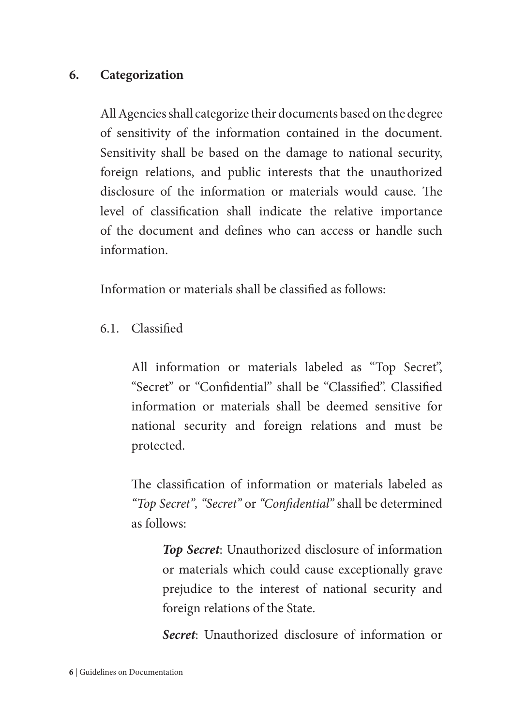#### **6. Categorization**

All Agencies shall categorize their documents based on the degree of sensitivity of the information contained in the document. Sensitivity shall be based on the damage to national security, foreign relations, and public interests that the unauthorized disclosure of the information or materials would cause. The level of classification shall indicate the relative importance of the document and defines who can access or handle such information.

Information or materials shall be classified as follows:

6.1. Classified

All information or materials labeled as "Top Secret", "Secret" or "Confidential" shall be "Classified". Classified information or materials shall be deemed sensitive for national security and foreign relations and must be protected.

The classification of information or materials labeled as *"Top Secret", "Secret"* or *"Confidential"* shall be determined as follows:

*Top Secret*: Unauthorized disclosure of information or materials which could cause exceptionally grave prejudice to the interest of national security and foreign relations of the State.

*Secret*: Unauthorized disclosure of information or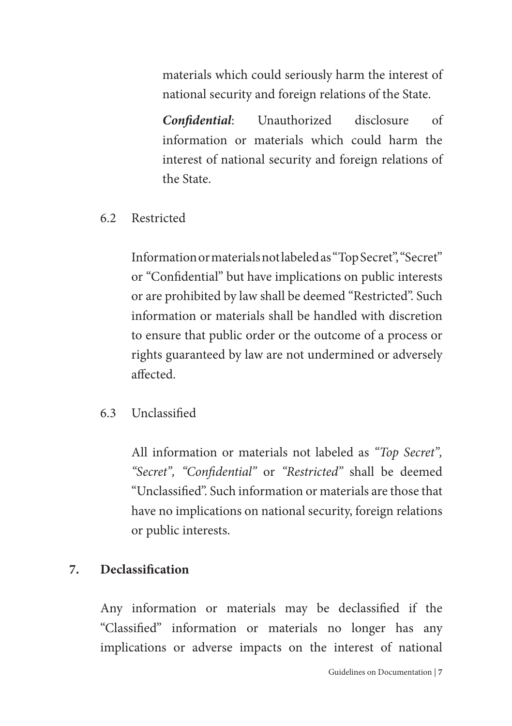materials which could seriously harm the interest of national security and foreign relations of the State.

*Confidential*: Unauthorized disclosure of information or materials which could harm the interest of national security and foreign relations of the State.

#### 6.2 Restricted

Information or materials not labeled as "Top Secret", "Secret" or "Confidential" but have implications on public interests or are prohibited by law shall be deemed "Restricted". Such information or materials shall be handled with discretion to ensure that public order or the outcome of a process or rights guaranteed by law are not undermined or adversely affected.

#### 6.3 Unclassified

All information or materials not labeled as *"Top Secret", "Secret", "Confidential"* or *"Restricted"* shall be deemed "Unclassified". Such information or materials are those that have no implications on national security, foreign relations or public interests.

#### **7. Declassification**

Any information or materials may be declassified if the "Classified" information or materials no longer has any implications or adverse impacts on the interest of national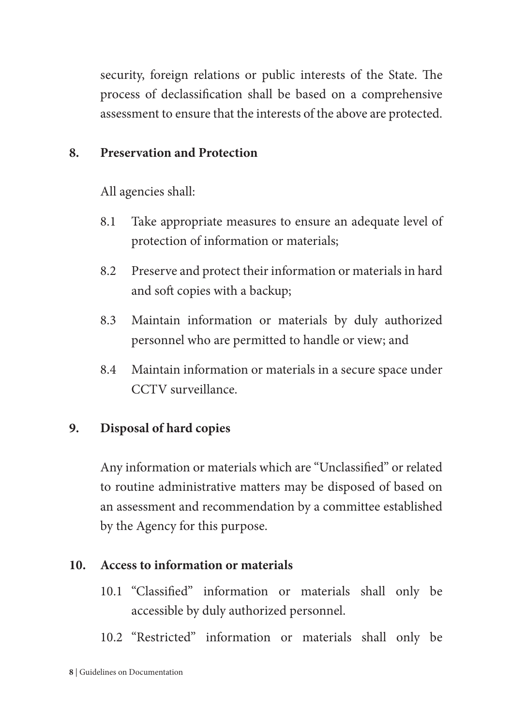security, foreign relations or public interests of the State. The process of declassification shall be based on a comprehensive assessment to ensure that the interests of the above are protected.

#### **8. Preservation and Protection**

All agencies shall:

- 8.1 Take appropriate measures to ensure an adequate level of protection of information or materials;
- 8.2 Preserve and protect their information or materials in hard and soft copies with a backup;
- 8.3 Maintain information or materials by duly authorized personnel who are permitted to handle or view; and
- 8.4 Maintain information or materials in a secure space under CCTV surveillance.

## **9. Disposal of hard copies**

Any information or materials which are "Unclassified" or related to routine administrative matters may be disposed of based on an assessment and recommendation by a committee established by the Agency for this purpose.

### **10. Access to information or materials**

- 10.1 "Classified" information or materials shall only be accessible by duly authorized personnel.
- 10.2 "Restricted" information or materials shall only be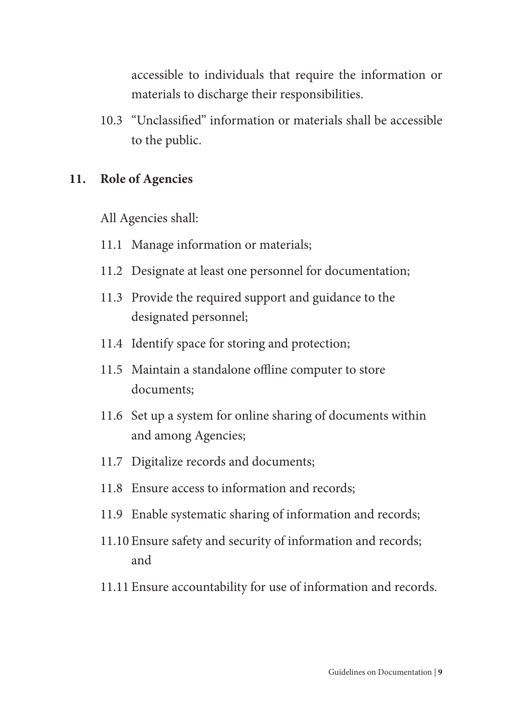accessible to individuals that require the information or materials to discharge their responsibilities.

10.3 "Unclassified" information or materials shall be accessible to the public.

#### **11. Role of Agencies**

All Agencies shall:

- 11.1 Manage information or materials;
- 11.2 Designate at least one personnel for documentation;
- 11.3 Provide the required support and guidance to the designated personnel;
- 11.4 Identify space for storing and protection;
- 11.5 Maintain a standalone offline computer to store documents;
- 11.6 Set up a system for online sharing of documents within and among Agencies;
- 11.7 Digitalize records and documents;
- 11.8 Ensure access to information and records;
- 11.9 Enable systematic sharing of information and records;
- 11.10 Ensure safety and security of information and records; and
- 11.11 Ensure accountability for use of information and records.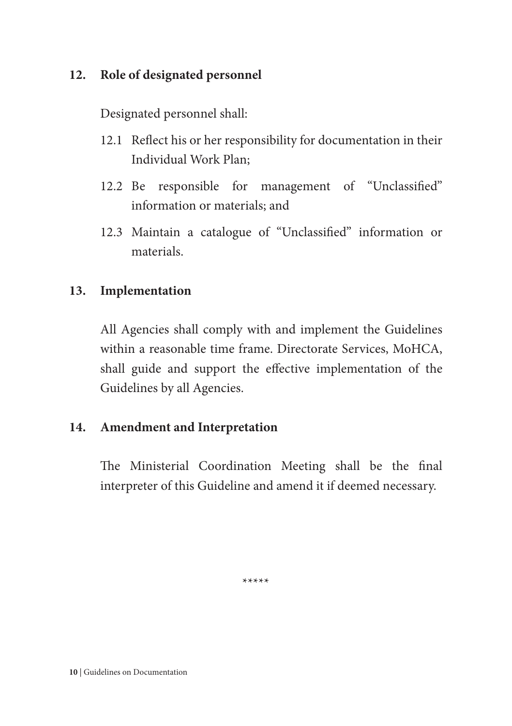#### **12. Role of designated personnel**

Designated personnel shall:

- 12.1 Reflect his or her responsibility for documentation in their Individual Work Plan;
- 12.2 Be responsible for management of "Unclassified" information or materials; and
- 12.3 Maintain a catalogue of "Unclassified" information or materials.

#### **13. Implementation**

All Agencies shall comply with and implement the Guidelines within a reasonable time frame. Directorate Services, MoHCA, shall guide and support the effective implementation of the Guidelines by all Agencies.

#### **14. Amendment and Interpretation**

The Ministerial Coordination Meeting shall be the final interpreter of this Guideline and amend it if deemed necessary.

\*\*\*\*\*